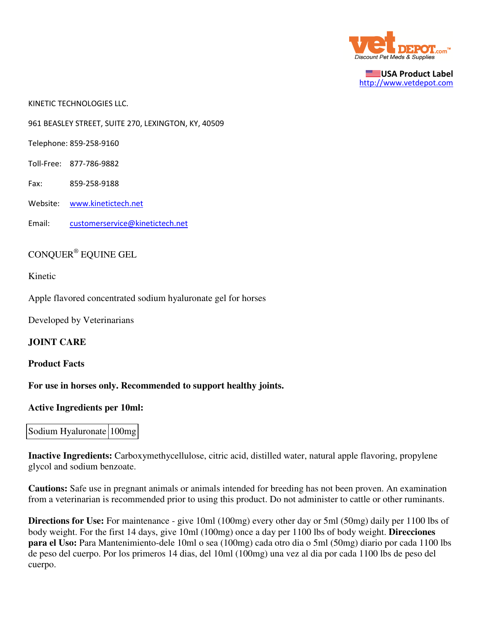

USA Product Label http://www.vetdepot.com

KINETIC TECHNOLOGIES LLC.

961 BEASLEY STREET, SUITE 270, LEXINGTON, KY, 40509

Telephone: 859-258-9160

Toll-Free: 877-786-9882

Fax: 859-258-9188

Website: www.kinetictech.net

Email: customerservice@kinetictech.net

# CONQUER® EQUINE GEL

Kinetic

Apple flavored concentrated sodium hyaluronate gel for horses

Developed by Veterinarians

**JOINT CARE**

#### **Product Facts**

**For use in horses only. Recommended to support healthy joints.**

#### **Active Ingredients per 10ml:**

### Sodium Hyaluronate 100mg

**Inactive Ingredients:** Carboxymethycellulose, citric acid, distilled water, natural apple flavoring, propylene glycol and sodium benzoate.

**Cautions:** Safe use in pregnant animals or animals intended for breeding has not been proven. An examination from a veterinarian is recommended prior to using this product. Do not administer to cattle or other ruminants.

**Directions for Use:** For maintenance - give 10ml (100mg) every other day or 5ml (50mg) daily per 1100 lbs of body weight. For the first 14 days, give 10ml (100mg) once a day per 1100 lbs of body weight. **Direcciones para el Uso:** Para Mantenimiento-dele 10ml o sea (100mg) cada otro dia o 5ml (50mg) diario por cada 1100 lbs de peso del cuerpo. Por los primeros 14 dias, del 10ml (100mg) una vez al dia por cada 1100 lbs de peso del cuerpo.